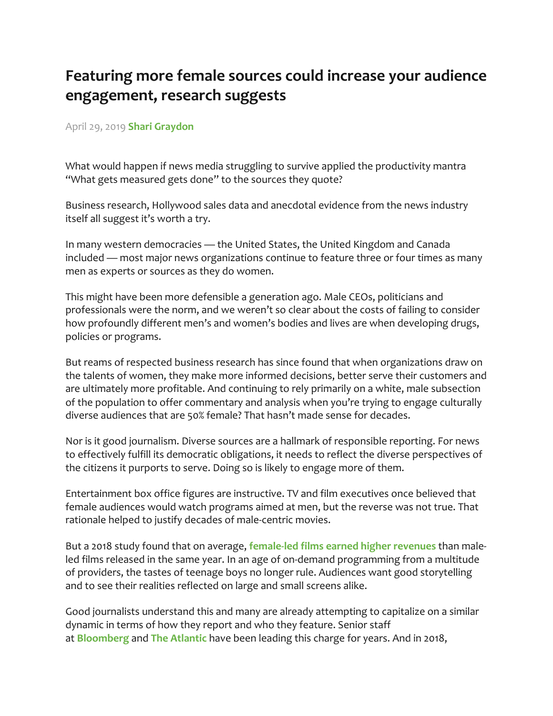## **Featuring more female sources could increase your audience engagement, research suggests**

## April 29, 2019 **Shari Graydon**

What would happen if news media struggling to survive applied the productivity mantra "What gets measured gets done" to the sources they quote?

Business research, Hollywood sales data and anecdotal evidence from the news industry itself all suggest it's worth a try.

In many western democracies — the United States, the United Kingdom and Canada included — most major news organizations continue to feature three or four times as many men as experts or sources as they do women.

This might have been more defensible a generation ago. Male CEOs, politicians and professionals were the norm, and we weren't so clear about the costs of failing to consider how profoundly different men's and women's bodies and lives are when developing drugs, policies or programs.

But reams of respected business research has since found that when organizations draw on the talents of women, they make more informed decisions, better serve their customers and are ultimately more profitable. And continuing to rely primarily on a white, male subsection of the population to offer commentary and analysis when you're trying to engage culturally diverse audiences that are 50% female? That hasn't made sense for decades.

Nor is it good journalism. Diverse sources are a hallmark of responsible reporting. For news to effectively fulfill its democratic obligations, it needs to reflect the diverse perspectives of the citizens it purports to serve. Doing so is likely to engage more of them.

Entertainment box office figures are instructive. TV and film executives once believed that female audiences would watch programs aimed at men, but the reverse was not true. That rationale helped to justify decades of male-centric movies.

But a 2018 study found that on average, **female-led films earned higher revenues** than maleled films released in the same year. In an age of on-demand programming from a multitude of providers, the tastes of teenage boys no longer rule. Audiences want good storytelling and to see their realities reflected on large and small screens alike.

Good journalists understand this and many are already attempting to capitalize on a similar dynamic in terms of how they report and who they feature. Senior staff at **Bloomberg** and **The Atlantic** have been leading this charge for years. And in 2018,